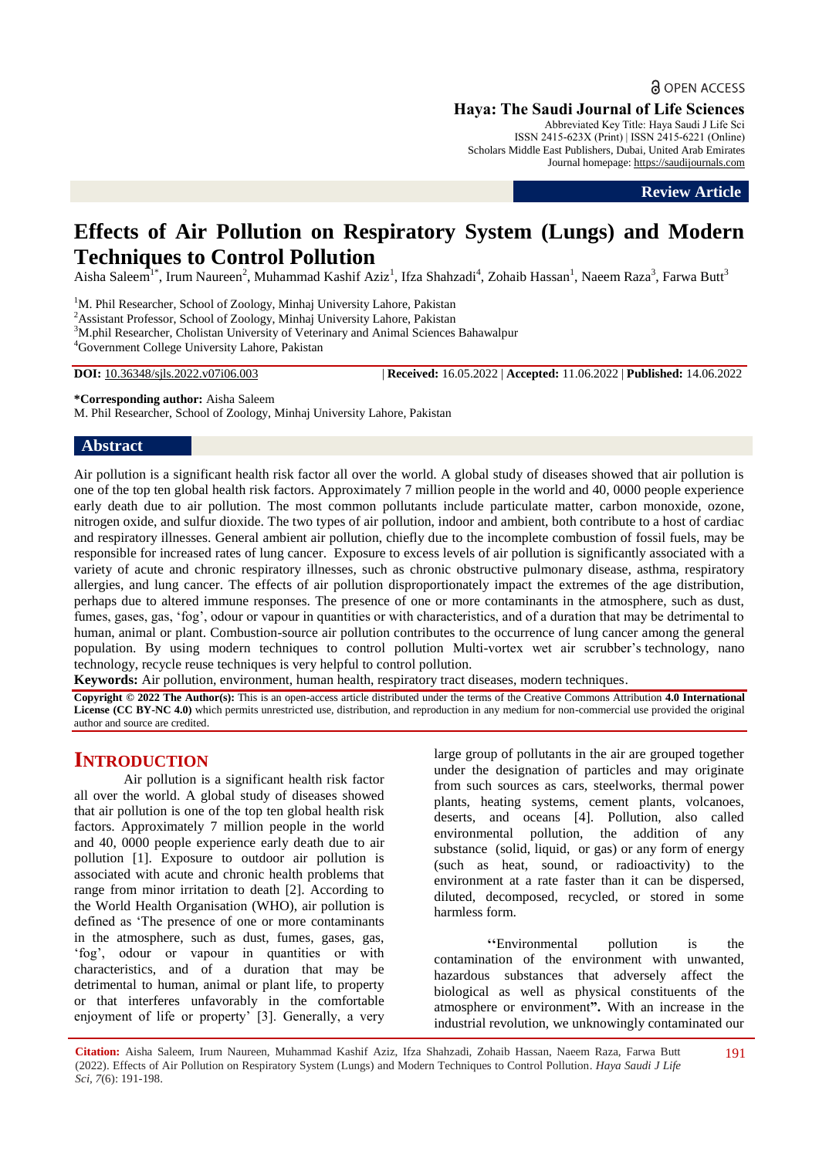**a** OPEN ACCESS

**Haya: The Saudi Journal of Life Sciences**

Abbreviated Key Title: Haya Saudi J Life Sci ISSN 2415-623X (Print) | ISSN 2415-6221 (Online) Scholars Middle East Publishers, Dubai, United Arab Emirates Journal homepage: [https://saudijournals.com](https://saudijournals.com/sjls)

**Review Article**

# **Effects of Air Pollution on Respiratory System (Lungs) and Modern Techniques to Control Pollution**

Aisha Saleem<sup>1\*</sup>, Irum Naureen<sup>2</sup>, Muhammad Kashif Aziz<sup>1</sup>, Ifza Shahzadi<sup>4</sup>, Zohaib Hassan<sup>1</sup>, Naeem Raza<sup>3</sup>, Farwa Butt<sup>3</sup>

<sup>1</sup>M. Phil Researcher, School of Zoology, Minhaj University Lahore, Pakistan <sup>2</sup>Assistant Professor, School of Zoology, Minhaj University Lahore, Pakistan <sup>3</sup>M.phil Researcher, Cholistan University of Veterinary and Animal Sciences Bahawalpur <sup>4</sup>Government College University Lahore, Pakistan

**DOI:** 10.36348/sjls.2022.v07i06.003 | **Received:** 16.05.2022 | **Accepted:** 11.06.2022 | **Published:** 14.06.2022

**\*Corresponding author:** Aisha Saleem

M. Phil Researcher, School of Zoology, Minhaj University Lahore, Pakistan

# **Abstract**

Air pollution is a significant health risk factor all over the world. A global study of diseases showed that air pollution is one of the top ten global health risk factors. Approximately 7 million people in the world and 40, 0000 people experience early death due to air pollution. The most common pollutants include particulate matter, carbon monoxide, ozone, nitrogen oxide, and sulfur dioxide. The two types of air pollution, indoor and ambient, both contribute to a host of cardiac and respiratory illnesses. General ambient air pollution, chiefly due to the incomplete combustion of fossil fuels, may be responsible for increased rates of lung cancer. Exposure to excess levels of air pollution is significantly associated with a variety of acute and chronic respiratory illnesses, such as chronic obstructive pulmonary disease, asthma, respiratory allergies, and lung cancer. The effects of air pollution disproportionately impact the extremes of the age distribution, perhaps due to altered immune responses. The presence of one or more contaminants in the atmosphere, such as dust, fumes, gases, gas, 'fog', odour or vapour in quantities or with characteristics, and of a duration that may be detrimental to human, animal or plant. Combustion-source air pollution contributes to the occurrence of lung cancer among the general population. By using modern techniques to control pollution Multi-vortex wet air scrubber's technology, nano technology, recycle reuse techniques is very helpful to control pollution.

**Keywords:** Air pollution, environment, human health, respiratory tract diseases, modern techniques.

**Copyright © 2022 The Author(s):** This is an open-access article distributed under the terms of the Creative Commons Attribution **4.0 International License (CC BY-NC 4.0)** which permits unrestricted use, distribution, and reproduction in any medium for non-commercial use provided the original author and source are credited.

# **INTRODUCTION**

Air pollution is a significant health risk factor all over the world. A global study of diseases showed that air pollution is one of the top ten global health risk factors. Approximately 7 million people in the world and 40, 0000 people experience early death due to air pollution [1]. Exposure to outdoor air pollution is associated with acute and chronic health problems that range from minor irritation to death [2]. According to the World Health Organisation (WHO), air pollution is defined as 'The presence of one or more contaminants in the atmosphere, such as dust, fumes, gases, gas, 'fog', odour or vapour in quantities or with characteristics, and of a duration that may be detrimental to human, animal or plant life, to property or that interferes unfavorably in the comfortable enjoyment of life or property' [3]. Generally, a very large group of pollutants in the air are grouped together under the designation of particles and may originate from such sources as cars, steelworks, thermal power plants, heating systems, cement plants, volcanoes, deserts, and oceans [4]. Pollution, also called environmental pollution, the addition of any substance [\(solid,](https://www.britannica.com/science/solid-state-of-matter) [liquid,](https://www.britannica.com/science/liquid-state-of-matter) or [gas\)](https://www.britannica.com/science/gas-state-of-matter) or any form of [energy](https://www.britannica.com/science/energy)  (such as [heat, s](https://www.britannica.com/science/heat)ound, or [radioactivity\)](https://www.britannica.com/science/radioactivity) to the [environment a](https://www.merriam-webster.com/dictionary/environment)t a rate faster than it can be dispersed, diluted, decomposed, recycled, or stored in some harmless form.

**''**Environmental pollution is the contamination of the environment with unwanted, hazardous substances that adversely affect the biological as well as physical constituents of the atmosphere or environment**".** With an increase in the industrial revolution, we unknowingly contaminated our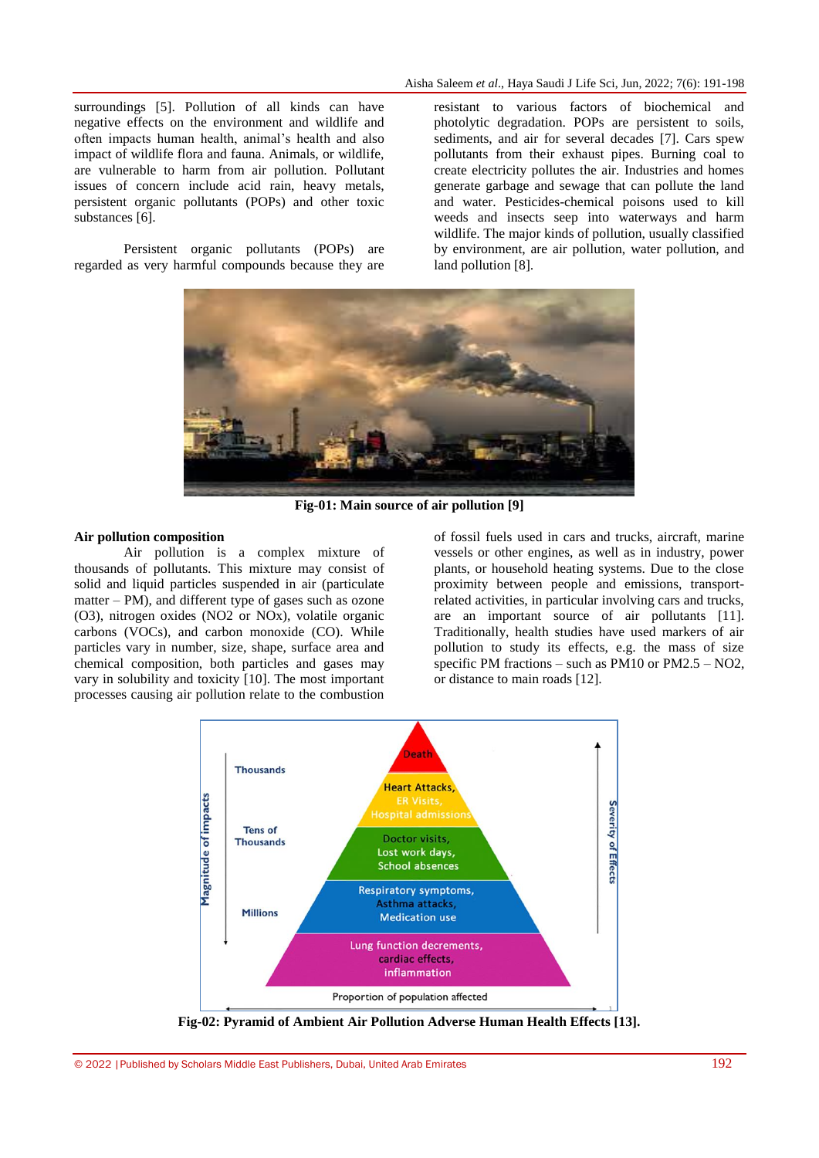surroundings [5]. Pollution of all kinds can have negative effects on the environment and wildlife and often impacts human health, animal's health and also impact of wildlife flora and fauna. Animals, or wildlife, are vulnerable to harm from air pollution. Pollutant issues of concern include acid rain, heavy metals, persistent organic pollutants (POPs) and other toxic substances [6].

Persistent organic pollutants (POPs) are regarded as very harmful compounds because they are

resistant to various factors of biochemical and photolytic degradation. POPs are persistent to soils, sediments, and air for several decades [7]. Cars spew pollutants from their exhaust pipes. Burning coal to create electricity pollutes the air. Industries and homes generate garbage and sewage that can pollute the land and water. Pesticides-chemical poisons used to kill weeds and insects seep into waterways and harm wildlife. The major kinds of pollution, usually classified by environment, are [air pollution,](https://www.britannica.com/science/air-pollution) [water pollution,](https://www.britannica.com/science/water-pollution) and [land pollution](https://www.britannica.com/science/land-pollution) [8].



**Fig-01: Main source of air pollution [9]**

# **Air pollution composition**

Air pollution is a complex mixture of thousands of pollutants. This mixture may consist of solid and liquid particles suspended in air (particulate matter – PM), and different type of gases such as ozone (O3), nitrogen oxides (NO2 or NOx), volatile organic carbons (VOCs), and carbon monoxide (CO). While particles vary in number, size, shape, surface area and chemical composition, both particles and gases may vary in solubility and toxicity [10]. The most important processes causing air pollution relate to the combustion

of fossil fuels used in cars and trucks, aircraft, marine vessels or other engines, as well as in industry, power plants, or household heating systems. Due to the close proximity between people and emissions, transportrelated activities, in particular involving cars and trucks, are an important source of air pollutants [11]. Traditionally, health studies have used markers of air pollution to study its effects, e.g. the mass of size specific PM fractions – such as PM10 or PM2.5 –  $NO2$ , or distance to main roads [12].



**Fig-02: Pyramid of Ambient Air Pollution Adverse Human Health Effects [13].**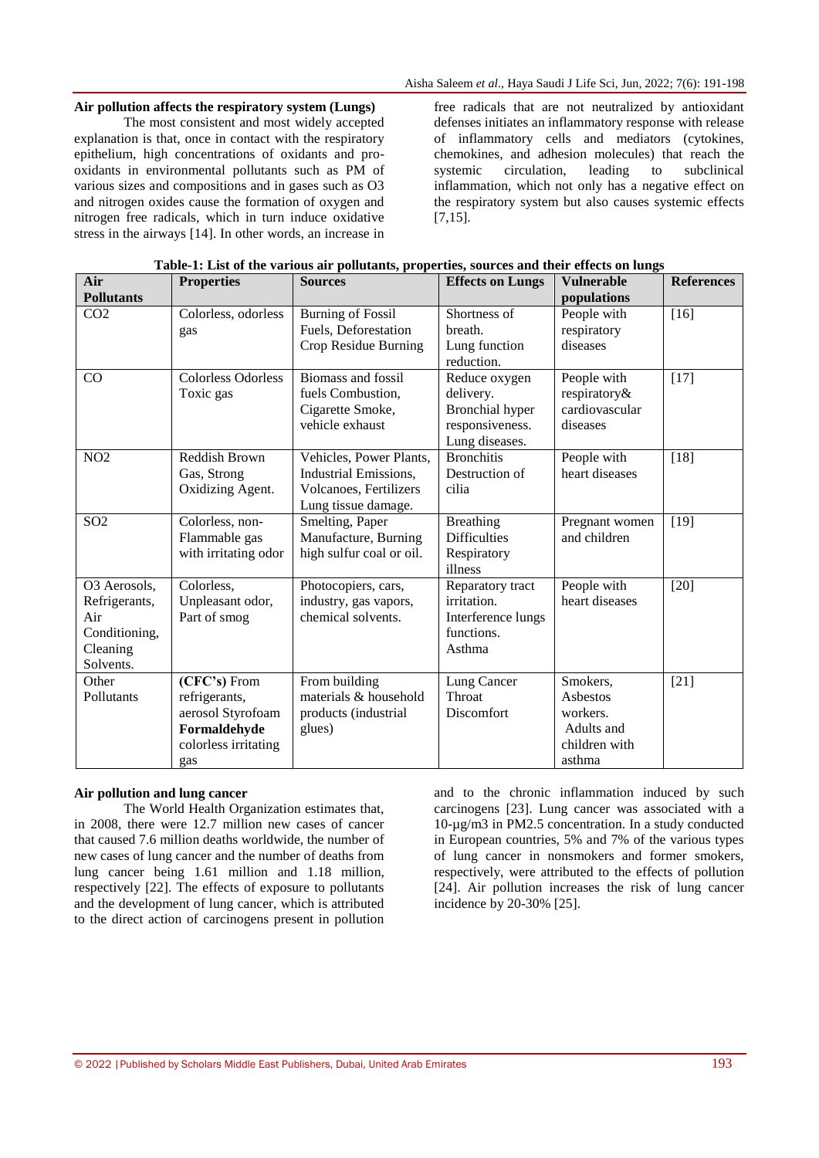#### **Air pollution affects the respiratory system (Lungs)**

The most consistent and most widely accepted explanation is that, once in contact with the respiratory epithelium, high concentrations of oxidants and prooxidants in environmental pollutants such as PM of various sizes and compositions and in gases such as O3 and nitrogen oxides cause the formation of oxygen and nitrogen free radicals, which in turn induce oxidative stress in the airways [14]. In other words, an increase in

free radicals that are not neutralized by antioxidant defenses initiates an inflammatory response with release of inflammatory cells and mediators (cytokines, chemokines, and adhesion molecules) that reach the systemic circulation, leading to subclinical inflammation, which not only has a negative effect on the respiratory system but also causes systemic effects  $[7.15]$ .

| Air<br><b>Pollutants</b>                                                       | <b>Properties</b>                                                                                 | <b>Sources</b>                                                                                    | <b>Effects on Lungs</b>                                                                   | <b>Vulnerable</b><br>populations                                          | <b>References</b> |
|--------------------------------------------------------------------------------|---------------------------------------------------------------------------------------------------|---------------------------------------------------------------------------------------------------|-------------------------------------------------------------------------------------------|---------------------------------------------------------------------------|-------------------|
| CO <sub>2</sub>                                                                | Colorless, odorless<br>gas                                                                        | <b>Burning of Fossil</b><br>Fuels, Deforestation<br>Crop Residue Burning                          | Shortness of<br>breath.<br>Lung function<br>reduction.                                    | People with<br>respiratory<br>diseases                                    | $[16]$            |
| CO                                                                             | <b>Colorless Odorless</b><br>Toxic gas                                                            | Biomass and fossil<br>fuels Combustion,<br>Cigarette Smoke,<br>vehicle exhaust                    | Reduce oxygen<br>delivery.<br><b>Bronchial</b> hyper<br>responsiveness.<br>Lung diseases. | People with<br>respiratory&<br>cardiovascular<br>diseases                 | $[17]$            |
| NO <sub>2</sub>                                                                | Reddish Brown<br>Gas, Strong<br>Oxidizing Agent.                                                  | Vehicles, Power Plants,<br>Industrial Emissions,<br>Volcanoes, Fertilizers<br>Lung tissue damage. | <b>Bronchitis</b><br>Destruction of<br>cilia                                              | People with<br>heart diseases                                             | $[18]$            |
| S <sub>02</sub>                                                                | Colorless, non-<br>Flammable gas<br>with irritating odor                                          | Smelting, Paper<br>Manufacture, Burning<br>high sulfur coal or oil.                               | <b>Breathing</b><br><b>Difficulties</b><br>Respiratory<br>illness                         | Pregnant women<br>and children                                            | $[19]$            |
| O3 Aerosols,<br>Refrigerants,<br>Air<br>Conditioning,<br>Cleaning<br>Solvents. | Colorless,<br>Unpleasant odor,<br>Part of smog                                                    | Photocopiers, cars,<br>industry, gas vapors,<br>chemical solvents.                                | Reparatory tract<br>irritation.<br>Interference lungs<br>functions.<br>Asthma             | People with<br>heart diseases                                             | $[20]$            |
| Other<br>Pollutants                                                            | (CFC's) From<br>refrigerants,<br>aerosol Styrofoam<br>Formaldehyde<br>colorless irritating<br>gas | From building<br>materials & household<br>products (industrial<br>glues)                          | Lung Cancer<br>Throat<br>Discomfort                                                       | Smokers,<br>Asbestos<br>workers.<br>Adults and<br>children with<br>asthma | $[21]$            |

| Table-1: List of the various air pollutants, properties, sources and their effects on lungs |  |  |
|---------------------------------------------------------------------------------------------|--|--|
|                                                                                             |  |  |

### **Air pollution and lung cancer**

The World Health Organization estimates that, in 2008, there were 12.7 million new cases of cancer that caused 7.6 million deaths worldwide, the number of new cases of lung cancer and the number of deaths from lung cancer being 1.61 million and 1.18 million, respectively [22]. The effects of exposure to pollutants and the development of lung cancer, which is attributed to the direct action of carcinogens present in pollution

and to the chronic inflammation induced by such carcinogens [23]. Lung cancer was associated with a 10-µg/m3 in PM2.5 concentration. In a study conducted in European countries, 5% and 7% of the various types of lung cancer in nonsmokers and former smokers, respectively, were attributed to the effects of pollution [24]. Air pollution increases the risk of lung cancer incidence by 20-30% [25].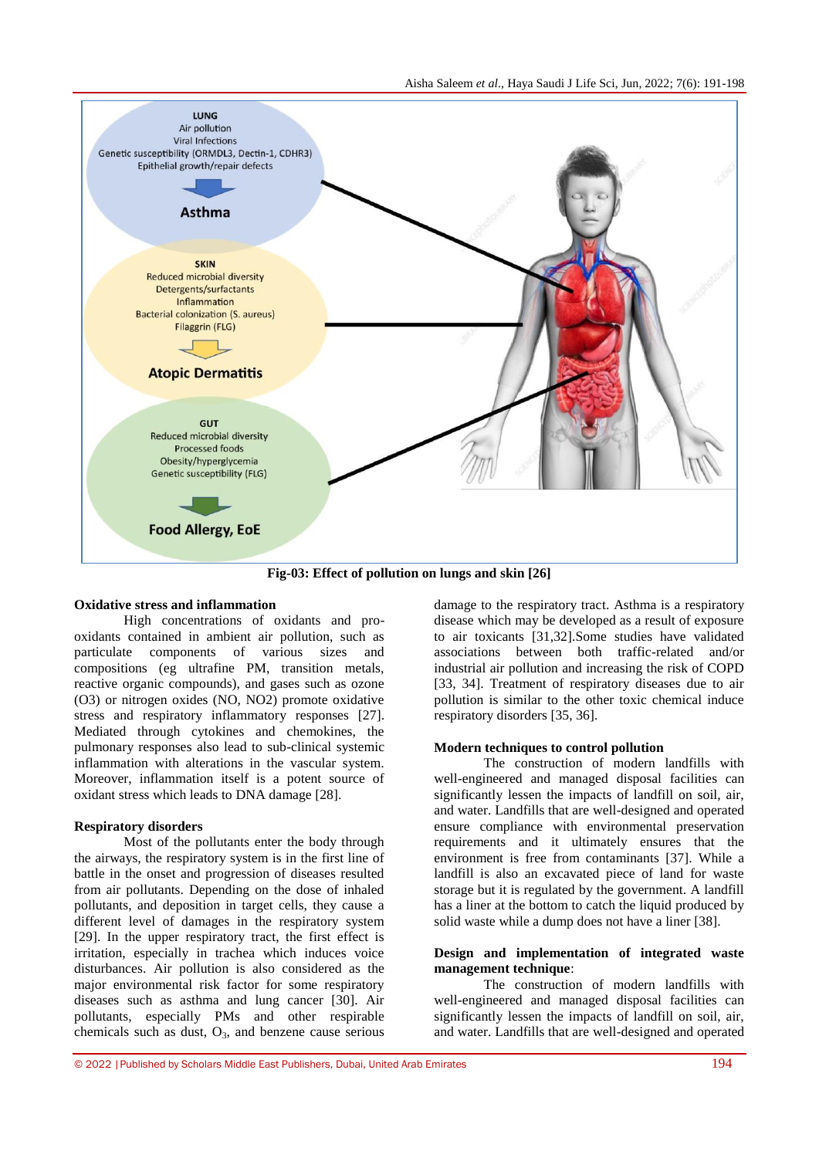

**Fig-03: Effect of pollution on lungs and skin [26]**

#### **Oxidative stress and inflammation**

High concentrations of oxidants and prooxidants contained in ambient air pollution, such as particulate components of various sizes and compositions (eg ultrafine PM, transition metals, reactive organic compounds), and gases such as ozone (O3) or nitrogen oxides (NO, NO2) promote oxidative stress and respiratory inflammatory responses [27]. Mediated through cytokines and chemokines, the pulmonary responses also lead to sub-clinical systemic inflammation with alterations in the vascular system. Moreover, inflammation itself is a potent source of oxidant stress which leads to DNA damage [28].

### **Respiratory disorders**

Most of the pollutants enter the body through the airways, the respiratory system is in the first line of battle in the onset and progression of diseases resulted from air pollutants. Depending on the dose of inhaled pollutants, and deposition in target cells, they cause a different level of damages in the respiratory system [29]. In the upper respiratory tract, the first effect is irritation, especially in trachea which induces voice disturbances. Air pollution is also considered as the major environmental risk factor for some respiratory diseases such as asthma and lung cancer [30]. Air pollutants, especially PMs and other respirable chemicals such as dust,  $O_3$ , and benzene cause serious

damage to the respiratory tract. Asthma is a respiratory disease which may be developed as a result of exposure to air toxicants [31,32].Some studies have validated associations between both traffic-related and/or industrial air pollution and increasing the risk of COPD [33, 34]. Treatment of respiratory diseases due to air pollution is similar to the other toxic chemical induce respiratory disorders [35, 36].

#### **Modern techniques to control pollution**

The construction of modern landfills with well-engineered and managed disposal facilities can significantly lessen the impacts of landfill on soil, air, and water. Landfills that are well-designed and operated ensure compliance with environmental preservation requirements and it ultimately ensures that the [environment is free from contaminants](https://www.conserve-energy-future.com/astonishing-ways-to-protect-the-environment-and-save-mother-earth.php) [37]. While a landfill is also an excavated piece of land for waste storage but it is regulated by the government. A landfill has a liner at the bottom to catch the liquid produced by solid waste while a dump does not have a liner [38].

#### **Design and implementation of integrated waste management technique**:

The construction of modern landfills with well-engineered and managed disposal facilities can significantly lessen the impacts of landfill on soil, air, and water. Landfills that are well-designed and operated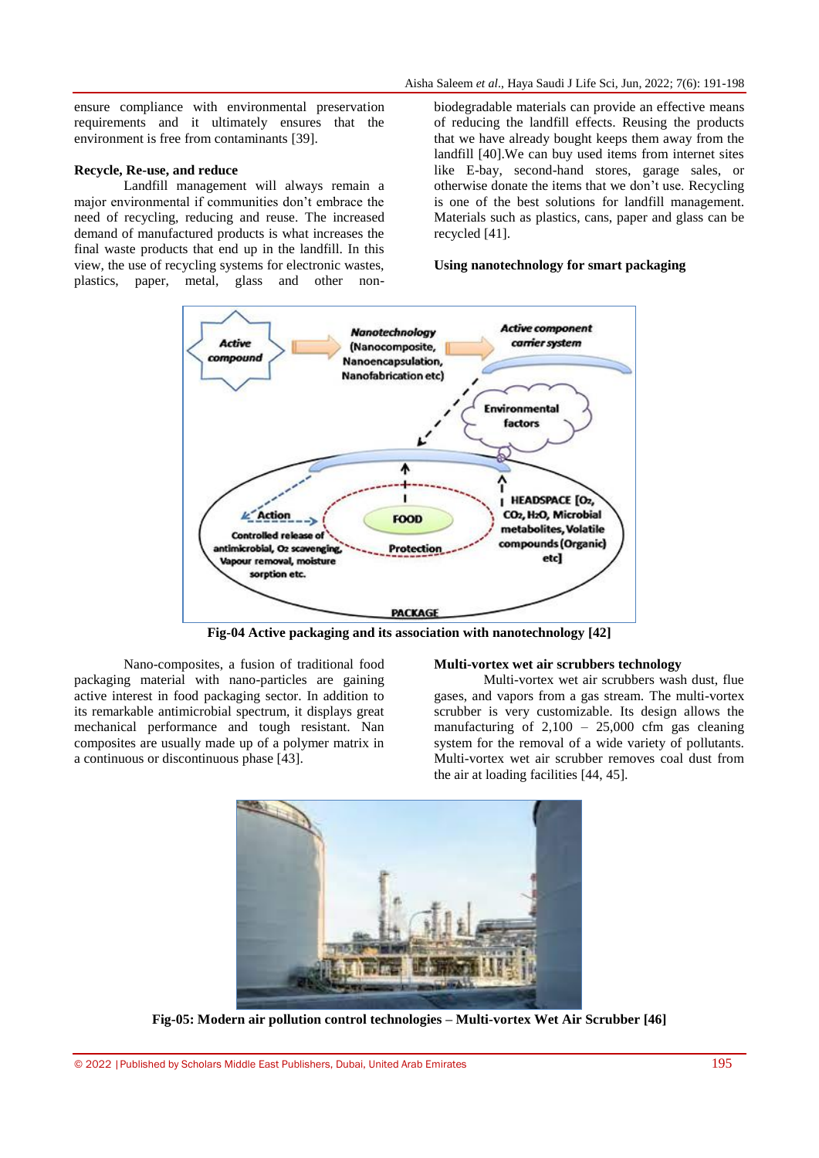ensure compliance with environmental preservation requirements and it ultimately ensures that the [environment is free from contaminants](https://www.conserve-energy-future.com/astonishing-ways-to-protect-the-environment-and-save-mother-earth.php) [39].

#### **Recycle, Re-use, and reduce**

Landfill management will always remain a major environmental if communities don't embrace the need of [recycling, reducing and reuse.](https://www.conserve-energy-future.com/25-staggering-ways-to-reduce-reuse-recycle.php) The increased demand of manufactured products is what increases the final waste products that end up in the landfill. In this view, the use of recycling systems for electronic wastes, plastics, paper, metal, glass and other nonbiodegradable materials can provide an effective means of reducing the landfill effects. Reusing the products that we have already bought keeps them away from the landfill [40].We can buy used items from internet sites like E-bay, second-hand stores, garage sales, or otherwise donate the items that we don't use. [Recycling](https://www.conserve-energy-future.com/why-is-recycling-important.php)  [is one of the best solutions f](https://www.conserve-energy-future.com/why-is-recycling-important.php)or landfill management. Materials such as plastics, cans, paper and glass can be recycled [41].

#### **Using nanotechnology for smart packaging**



**Fig-04 Active packaging and its association with nanotechnology [42]**

Nano-composites, a fusion of traditional food packaging material with nano-particles are gaining active interest in food packaging sector. In addition to its remarkable antimicrobial spectrum, it displays great mechanical performance and tough resistant. Nan composites are usually made up of a polymer matrix in a continuous or discontinuous phase [43].

#### **Multi-vortex wet air scrubbers technology**

Multi-vortex wet air scrubbers wash dust, flue gases, and vapors from a gas stream. The multi-vortex scrubber is very customizable. Its design allows the manufacturing of  $2,100 - 25,000$  cfm gas cleaning system for the removal of a wide variety of pollutants. Multi-vortex wet air scrubber removes coal dust from the air at loading facilities [44, 45].



**Fig-05[: Modern air pollution control technologies –](https://www.google.com/url?sa=i&url=https%3A%2F%2Fwetairscrubber.com%2Farticles%2Fmodern-air-pollution-control-technologies%2F&psig=AOvVaw3TVE17xDsjxP-EPTG0qUev&ust=1651555048497000&source=images&cd=vfe&ved=0CA0QjhxqFwoTCOih366IwPcCFQAAAAAdAAAAABAR) Multi-vortex Wet Air Scrubber [46]**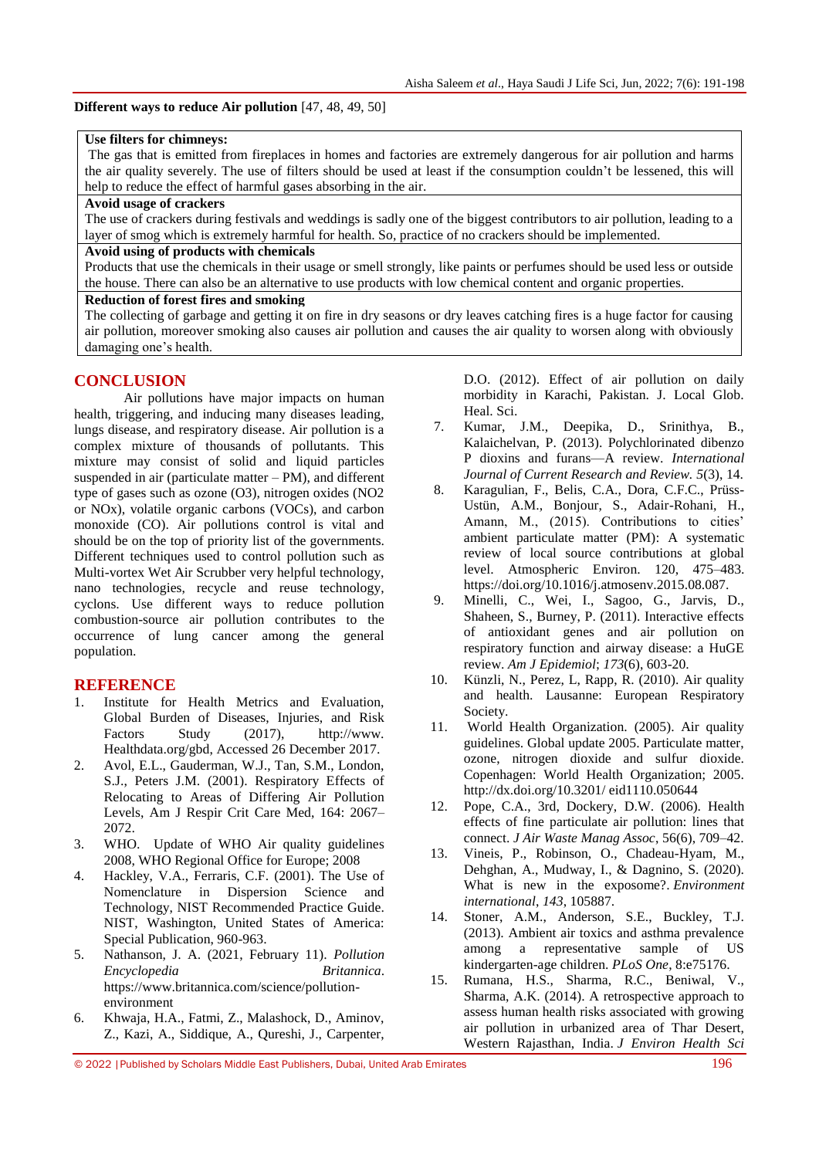### **Different ways to reduce Air pollution** [47, 48, 49, 50]

#### **Use filters for chimneys:**

The gas that is emitted from fireplaces in homes and factories are extremely dangerous for air pollution and harms the air quality severely. The use of filters should be used at least if the consumption couldn't be lessened, this will help to reduce the effect of harmful gases absorbing in the air.

### **Avoid usage of crackers**

The use of crackers during festivals and weddings is sadly one of the biggest contributors to air pollution, leading to a layer of smog which is extremely harmful for health. So, practice of no crackers should be implemented.

# **Avoid using of products with chemicals**

Products that use the chemicals in their usage or smell strongly, like paints or perfumes should be used less or outside the house. There can also be an alternative to use products with low chemical content and organic properties.

#### **Reduction of forest fires and smoking**

The collecting of garbage and getting it on fire in dry seasons or dry leaves catching fires is a huge factor for causing air pollution, moreover [smoking](https://www.aqi.in/blog/cigarettes-smoke-air-pollution/) also causes air pollution and causes the air quality to worsen along with obviously damaging one's health.

# **CONCLUSION**

Air pollutions have major impacts on human health, triggering, and inducing many diseases leading, lungs disease, and respiratory disease. Air pollution is a complex mixture of thousands of pollutants. This mixture may consist of solid and liquid particles suspended in air (particulate matter  $-$  PM), and different type of gases such as ozone (O3), nitrogen oxides (NO2 or NOx), volatile organic carbons (VOCs), and carbon monoxide (CO). Air pollutions control is vital and should be on the top of priority list of the governments. Different techniques used to control pollution such as Multi-vortex Wet Air Scrubber very helpful technology, nano technologies, recycle and reuse technology, cyclons. Use different ways to reduce pollution combustion-source air pollution contributes to the occurrence of lung cancer among the general population.

# **REFERENCE**

- 1. Institute for Health Metrics and Evaluation, Global Burden of Diseases, Injuries, and Risk Factors Study (2017), http://www. Healthdata.org/gbd, Accessed 26 December 2017.
- 2. Avol, E.L., Gauderman, W.J., Tan, S.M., London, S.J., Peters J.M. (2001). Respiratory Effects of Relocating to Areas of Differing Air Pollution Levels, Am J Respir Crit Care Med, 164: 2067– 2072.
- 3. WHO. Update of WHO Air quality guidelines 2008, WHO Regional Office for Europe; 2008
- 4. Hackley, V.A., Ferraris, C.F. (2001). The Use of Nomenclature in Dispersion Science and Technology, NIST Recommended Practice Guide. NIST, Washington, United States of America: Special Publication, 960-963.
- 5. Nathanson, J. A. (2021, February 11). *Pollution Encyclopedia Britannica*. [https://www.britannica.com/science/pollution](https://www.britannica.com/science/pollution-environment)[environment](https://www.britannica.com/science/pollution-environment)
- 6. Khwaja, H.A., Fatmi, Z., Malashock, D., Aminov, Z., Kazi, A., Siddique, A., Qureshi, J., Carpenter,

D.O. (2012). Effect of air pollution on daily morbidity in Karachi, Pakistan. J. Local Glob. Heal. Sci.

- 7. Kumar, J.M., Deepika, D., Srinithya, B., Kalaichelvan, P. (2013). Polychlorinated dibenzo P dioxins and furans—A review. *International Journal of Current Research and Review. 5*(3), 14.
- 8. Karagulian, F., Belis, C.A., Dora, C.F.C., Prüss-Ustün, A.M., Bonjour, S., Adair-Rohani, H., Amann, M., (2015). Contributions to cities' ambient particulate matter (PM): A systematic review of local source contributions at global level. Atmospheric Environ. 120, 475–483. https://doi.org/10.1016/j.atmosenv.2015.08.087.
- 9. Minelli, C., Wei, I., Sagoo, G., Jarvis, D., Shaheen, S., Burney, P. (2011). Interactive effects of antioxidant genes and air pollution on respiratory function and airway disease: a HuGE review. *Am J Epidemiol*; *173*(6), 603-20.
- 10. Künzli, N., Perez, L, Rapp, R. (2010). Air quality and health. Lausanne: European Respiratory Society.
- 11. World Health Organization. (2005). Air quality guidelines. Global update 2005. Particulate matter, ozone, nitrogen dioxide and sulfur dioxide. Copenhagen: World Health Organization; 2005. http://dx.doi.org/10.3201/ eid1110.050644
- 12. Pope, C.A., 3rd, Dockery, D.W. (2006). Health effects of fine particulate air pollution: lines that connect. *J Air Waste Manag Assoc*, 56(6), 709–42.
- 13. Vineis, P., Robinson, O., Chadeau-Hyam, M., Dehghan, A., Mudway, I., & Dagnino, S. (2020). What is new in the exposome?. *Environment international*, *143*, 105887.
- 14. Stoner, A.M., Anderson, S.E., Buckley, T.J. (2013). Ambient air toxics and asthma prevalence among a representative sample of US kindergarten-age children. *PLoS One*, 8:e75176.
- 15. Rumana, H.S., Sharma, R.C., Beniwal, V., Sharma, A.K. (2014). A retrospective approach to assess human health risks associated with growing air pollution in urbanized area of Thar Desert, Western Rajasthan, India. *J Environ Health Sci*

<sup>© 2022</sup> |Published by Scholars Middle East Publishers, Dubai, United Arab Emirates 196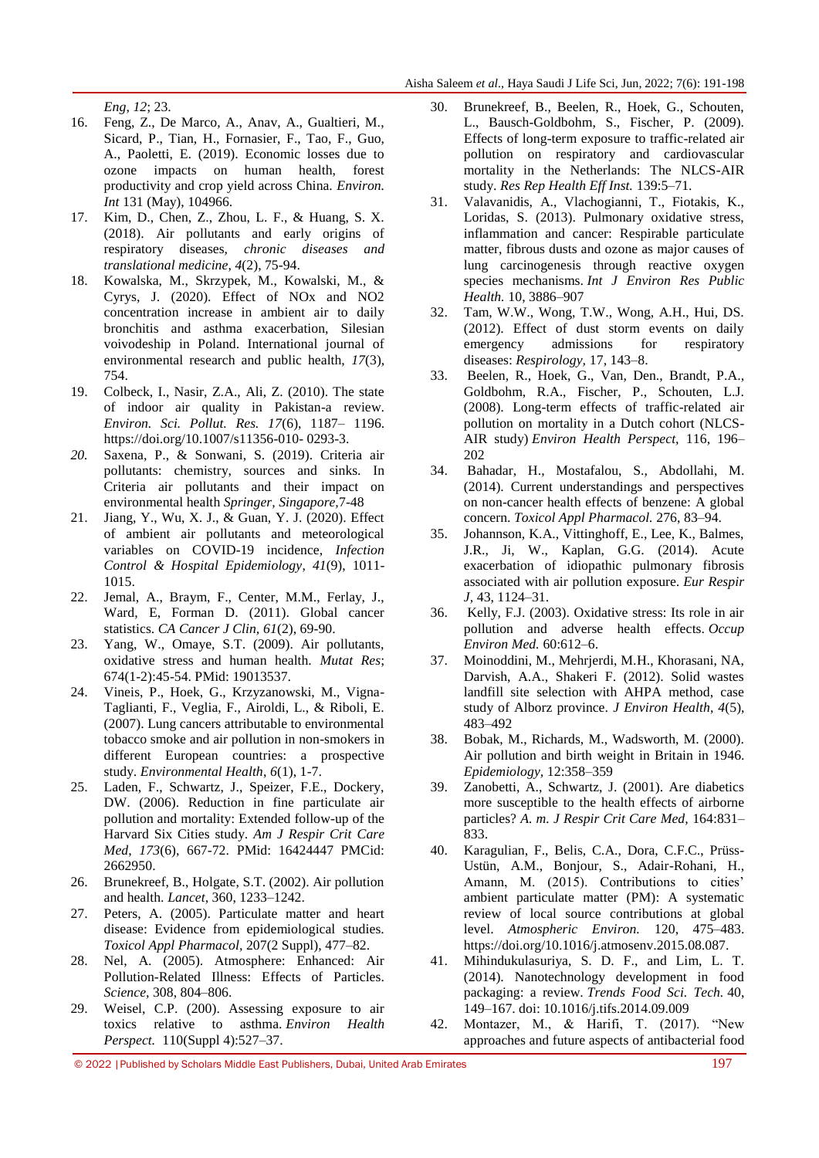*Eng*, *12*; 23.

- 16. Feng, Z., De Marco, A., Anav, A., Gualtieri, M., Sicard, P., Tian, H., Fornasier, F., Tao, F., Guo, A., Paoletti, E. (2019). Economic losses due to ozone impacts on human health, forest productivity and crop yield across China. *Environ. Int* 131 (May), 104966.
- 17. Kim, D., Chen, Z., Zhou, L. F., & Huang, S. X. (2018). Air pollutants and early origins of respiratory diseases, *chronic diseases and translational medicine*, *4*(2), 75-94.
- 18. Kowalska, M., Skrzypek, M., Kowalski, M., & Cyrys, J. (2020). Effect of NOx and NO2 concentration increase in ambient air to daily bronchitis and asthma exacerbation, Silesian voivodeship in Poland. International journal of environmental research and public health, *17*(3), 754.
- 19. Colbeck, I., Nasir, Z.A., Ali, Z. (2010). The state of indoor air quality in Pakistan-a review. *Environ. Sci. Pollut. Res. 17*(6), 1187– 1196. https://doi.org/10.1007/s11356-010- 0293-3.
- *20.* Saxena, P., & Sonwani, S. (2019). Criteria air pollutants: chemistry, sources and sinks. In Criteria air pollutants and their impact on environmental health *Springer, Singapore,*7-48
- 21. Jiang, Y., Wu, X. J., & Guan, Y. J. (2020). Effect of ambient air pollutants and meteorological variables on COVID-19 incidence, *Infection Control & Hospital Epidemiology*, *41*(9), 1011- 1015.
- 22. Jemal, A., Braym, F., Center, M.M., Ferlay, J., Ward, E, Forman D. (2011). Global cancer statistics. *CA Cancer J Clin, 61*(2), 69-90.
- 23. Yang, W., Omaye, S.T. (2009). Air pollutants, oxidative stress and human health. *Mutat Res*; 674(1-2):45-54. PMid: 19013537.
- 24. Vineis, P., Hoek, G., Krzyzanowski, M., Vigna-Taglianti, F., Veglia, F., Airoldi, L., & Riboli, E. (2007). Lung cancers attributable to environmental tobacco smoke and air pollution in non-smokers in different European countries: a prospective study. *Environmental Health*, *6*(1), 1-7.
- 25. Laden, F., Schwartz, J., Speizer, F.E., Dockery, DW. (2006). Reduction in fine particulate air pollution and mortality: Extended follow-up of the Harvard Six Cities study. *Am J Respir Crit Care Med*, *173*(6), 667-72. PMid: 16424447 PMCid: 2662950.
- 26. Brunekreef, B., Holgate, S.T. (2002). Air pollution and health. *Lancet*, 360, 1233–1242.
- 27. Peters, A. (2005). Particulate matter and heart disease: Evidence from epidemiological studies. *Toxicol Appl Pharmacol,* 207(2 Suppl), 477–82.
- 28. Nel, A. (2005). Atmosphere: Enhanced: Air Pollution-Related Illness: Effects of Particles. *Science,* 308, 804–806.
- 29. Weisel, C.P. (200). Assessing exposure to air toxics relative to asthma. *Environ Health Perspect.* 110(Suppl 4):527–37.
- 30. Brunekreef, B., Beelen, R., Hoek, G., Schouten, L., Bausch-Goldbohm, S., Fischer, P. (2009). Effects of long-term exposure to traffic-related air pollution on respiratory and cardiovascular mortality in the Netherlands: The NLCS-AIR study. *Res Rep Health Eff Inst.* 139:5–71.
- 31. Valavanidis, A., Vlachogianni, T., Fiotakis, K., Loridas, S. (2013). Pulmonary oxidative stress, inflammation and cancer: Respirable particulate matter, fibrous dusts and ozone as major causes of lung carcinogenesis through reactive oxygen species mechanisms. *Int J Environ Res Public Health.* 10, 3886–907
- 32. Tam, W.W., Wong, T.W., Wong, A.H., Hui, DS. (2012). Effect of dust storm events on daily emergency admissions for respiratory diseases: *Respirology,* 17, 143–8.
- 33. Beelen, R., Hoek, G., Van, Den., Brandt, P.A., Goldbohm, R.A., Fischer, P., Schouten, L.J. (2008). Long-term effects of traffic-related air pollution on mortality in a Dutch cohort (NLCS-AIR study) *Environ Health Perspect,* 116, 196– 202
- 34. Bahadar, H., Mostafalou, S., Abdollahi, M. (2014). Current understandings and perspectives on non-cancer health effects of benzene: A global concern. *Toxicol Appl Pharmacol.* 276, 83–94.
- 35. Johannson, K.A., Vittinghoff, E., Lee, K., Balmes, J.R., Ji, W., Kaplan, G.G. (2014). Acute exacerbation of idiopathic pulmonary fibrosis associated with air pollution exposure. *Eur Respir J,* 43, 1124–31.
- 36. Kelly, F.J. (2003). Oxidative stress: Its role in air pollution and adverse health effects. *Occup Environ Med.* 60:612–6.
- 37. Moinoddini, M., Mehrjerdi, M.H., Khorasani, NA, Darvish, A.A., Shakeri F. (2012). Solid wastes landfill site selection with AHPA method, case study of Alborz province. *J Environ Health*, *4*(5), 483–492
- 38. Bobak, M., Richards, M., Wadsworth, M. (2000). Air pollution and birth weight in Britain in 1946. *Epidemiology,* 12:358–359
- 39. Zanobetti, A., Schwartz, J. (2001). Are diabetics more susceptible to the health effects of airborne particles? *A. m. J Respir Crit Care Med,* 164:831– 833.
- 40. Karagulian, F., Belis, C.A., Dora, C.F.C., Prüss-Ustün, A.M., Bonjour, S., Adair-Rohani, H., Amann, M. (2015). Contributions to cities' ambient particulate matter (PM): A systematic review of local source contributions at global level. *Atmospheric Environ.* 120, 475–483. https://doi.org/10.1016/j.atmosenv.2015.08.087.
- 41. Mihindukulasuriya, S. D. F., and Lim, L. T. (2014). Nanotechnology development in food packaging: a review. *Trends Food Sci. Tech.* 40, 149–167. doi: 10.1016/j.tifs.2014.09.009
- 42. Montazer, M., & Harifi, T. (2017). "New approaches and future aspects of antibacterial food

© 2022 |Published by Scholars Middle East Publishers, Dubai, United Arab Emirates 197